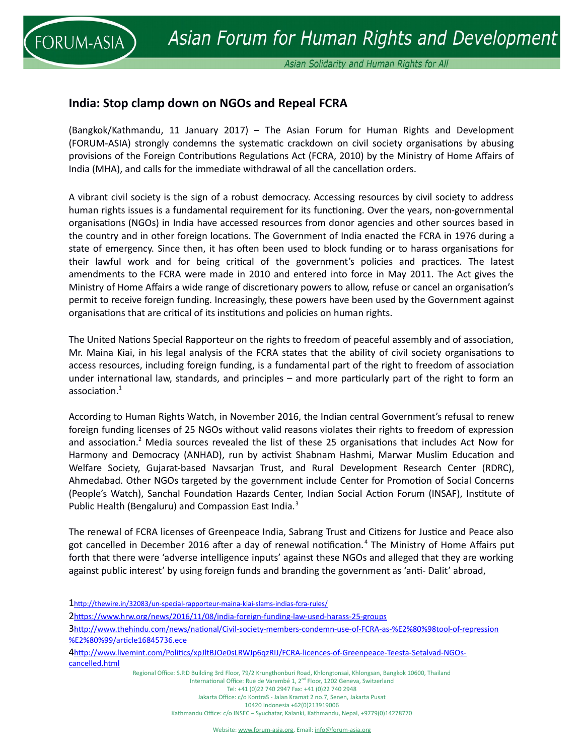

## **India: Stop clamp down on NGOs and Repeal FCRA**

(Bangkok/Kathmandu, 11 January 2017) – The Asian Forum for Human Rights and Development (FORUM-ASIA) strongly condemns the systematic crackdown on civil society organisations by abusing provisions of the Foreign Contributions Regulations Act (FCRA, 2010) by the Ministry of Home Affairs of India (MHA), and calls for the immediate withdrawal of all the cancellation orders.

A vibrant civil society is the sign of a robust democracy. Accessing resources by civil society to address human rights issues is a fundamental requirement for its functioning. Over the years, non-governmental organisations (NGOs) in India have accessed resources from donor agencies and other sources based in the country and in other foreign locations. The Government of India enacted the FCRA in 1976 during a state of emergency. Since then, it has often been used to block funding or to harass organisations for their lawful work and for being critical of the government's policies and practices. The latest amendments to the FCRA were made in 2010 and entered into force in May 2011. The Act gives the Ministry of Home Affairs a wide range of discretionary powers to allow, refuse or cancel an organisation's permit to receive foreign funding. Increasingly, these powers have been used by the Government against organisations that are critical of its institutions and policies on human rights.

The United Nations Special Rapporteur on the rights to freedom of peaceful assembly and of association, Mr. Maina Kiai, in his legal analysis of the FCRA states that the ability of civil society organisations to access resources, including foreign funding, is a fundamental part of the right to freedom of association under international law, standards, and principles – and more particularly part of the right to form an association.<sup>[1](#page-0-0)</sup>

According to Human Rights Watch, in November 2016, the Indian central Government's refusal to renew foreign funding licenses of 25 NGOs without valid reasons violates their rights to freedom of expression and association.<sup>[2](#page-0-1)</sup> Media sources revealed the list of these 25 organisations that includes Act Now for Harmony and Democracy (ANHAD), run by activist Shabnam Hashmi, Marwar Muslim Education and Welfare Society, Gujarat-based Navsarjan Trust, and Rural Development Research Center (RDRC), Ahmedabad. Other NGOs targeted by the government include Center for Promotion of Social Concerns (People's Watch), Sanchal Foundation Hazards Center, Indian Social Action Forum (INSAF), Institute of Public Health (Bengaluru) and Compassion East India.<sup>[3](#page-0-2)</sup>

The renewal of FCRA licenses of Greenpeace India, Sabrang Trust and Citizens for Justice and Peace also got cancelled in December 2016 after a day of renewal notification.<sup>[4](#page-0-3)</sup> The Ministry of Home Affairs put forth that there were 'adverse intelligence inputs' against these NGOs and alleged that they are working against public interest' by using foreign funds and branding the government as 'anti- Dalit' abroad,

<span id="page-0-0"></span>1<http://thewire.in/32083/un-special-rapporteur-maina-kiai-slams-indias-fcra-rules/>

<span id="page-0-1"></span>2<https://www.hrw.org/news/2016/11/08/india-foreign-funding-law-used-harass-25-groups>

<span id="page-0-2"></span>3[http://www.thehindu.com/news/national/Civil-society-members-condemn-use-of-FCRA-as-%E2%80%98tool-of-repression](http://www.thehindu.com/news/national/Civil-society-members-condemn-use-of-FCRA-as-%E2%80%98tool-of-repression%E2%80%99/article16845736.ece) [%E2%80%99/article16845736.ece](http://www.thehindu.com/news/national/Civil-society-members-condemn-use-of-FCRA-as-%E2%80%98tool-of-repression%E2%80%99/article16845736.ece)

<span id="page-0-3"></span>4[http://www.livemint.com/Politics/xpJltBJOe0sLRWJp6qzRIJ/FCRA-licences-of-Greenpeace-Teesta-Setalvad-NGOs](http://www.livemint.com/Politics/xpJltBJOe0sLRWJp6qzRIJ/FCRA-licences-of-Greenpeace-Teesta-Setalvad-NGOs-cancelled.html)[cancelled.html](http://www.livemint.com/Politics/xpJltBJOe0sLRWJp6qzRIJ/FCRA-licences-of-Greenpeace-Teesta-Setalvad-NGOs-cancelled.html)

Regional Office: S.P.D Building 3rd Floor, 79/2 Krungthonburi Road, Khlongtonsai, Khlongsan, Bangkok 10600, Thailand International Office: Rue de Varembé 1, 2<sup>nd</sup> Floor, 1202 Geneva, Switzerland Tel: +41 (0)22 740 2947 Fax: +41 (0)22 740 2948

Jakarta Office: c/o KontraS - Jalan Kramat 2 no.7, Senen, Jakarta Pusat

10420 Indonesia +62(0)213919006

Kathmandu Office: c/o INSEC – Syuchatar, Kalanki, Kathmandu, Nepal, +9779(0)14278770